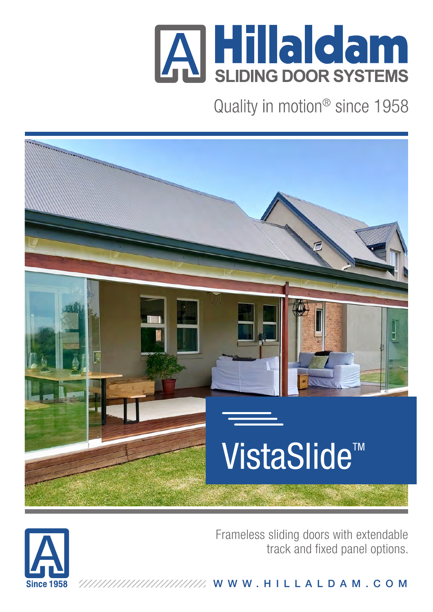

Quality in motion<sup>®</sup> since 1958





Frameless sliding doors with extendable track and fixed panel options.

WWW.HILLALDAM.COM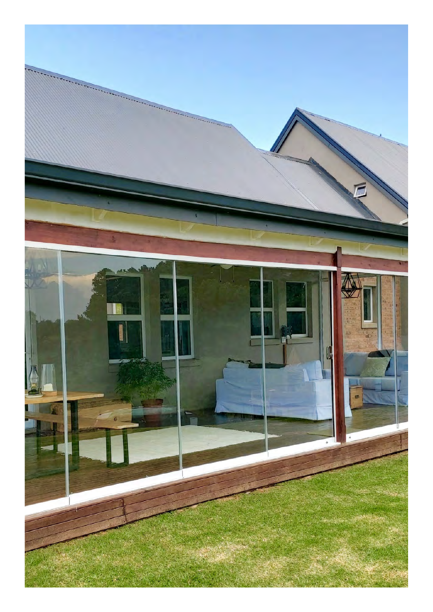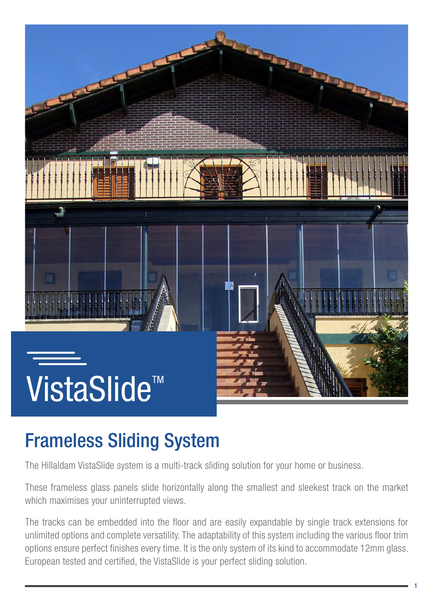

## Frameless Sliding System

The Hillaldam VistaSlide system is a multi-track sliding solution for your home or business.

These frameless glass panels slide horizontally along the smallest and sleekest track on the market which maximises your uninterrupted views.

The tracks can be embedded into the floor and are easily expandable by single track extensions for unlimited options and complete versatility. The adaptability of this system including the various floor trim options ensure perfect finishes every time. It is the only system of its kind to accommodate 12mm glass. European tested and certified, the VistaSlide is your perfect sliding solution.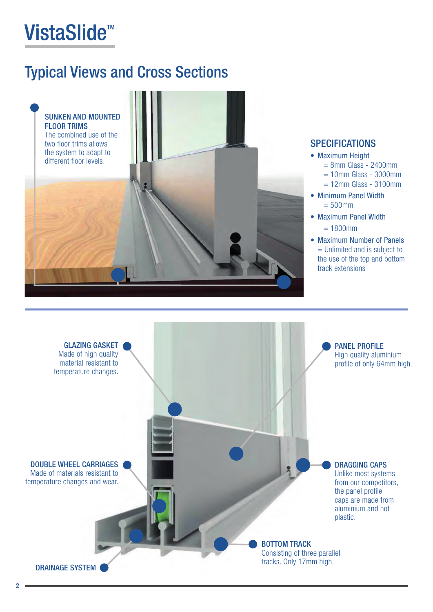# VistaSlide<sup>™</sup>

### Typical Views and Cross Sections



### **SPECIFICATIONS**

- Maximum Height
	- $= 8$ mm Glass 2400mm
	- $= 10$ mm Glass 3000mm
	- $= 12$ mm Glass 3100mm
- Minimum Panel Width  $= 500$ mm
- Maximum Panel Width  $= 1800$ mm
- Maximum Number of Panels = Unlimited and is subject to the use of the top and bottom track extensions

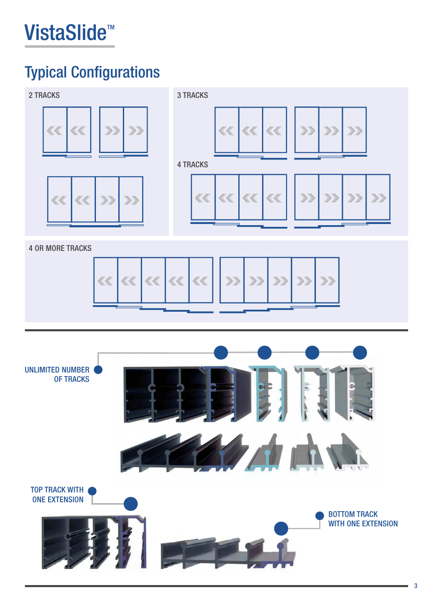

## Typical Configurations

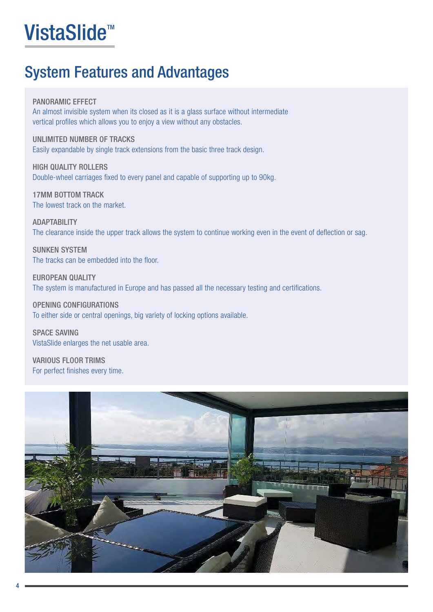# VistaSlide<sup>™</sup>

### System Features and Advantages

PANORAMIC EFFECT An almost invisible system when its closed as it is a glass surface without intermediate vertical profiles which allows you to enjoy a view without any obstacles.

UNLIMITED NUMBER OF TRACKS Easily expandable by single track extensions from the basic three track design.

HIGH QUALITY ROLLERS Double-wheel carriages fixed to every panel and capable of supporting up to 90kg.

17MM BOTTOM TRACK The lowest track on the market.

ADAPTABILITY The clearance inside the upper track allows the system to continue working even in the event of deflection or sag.

SUNKEN SYSTEM The tracks can be embedded into the floor.

EUROPEAN QUALITY The system is manufactured in Europe and has passed all the necessary testing and certifications.

OPENING CONFIGURATIONS To either side or central openings, big variety of locking options available.

SPACE SAVING VistaSlide enlarges the net usable area.

VARIOUS FLOOR TRIMS For perfect finishes every time.

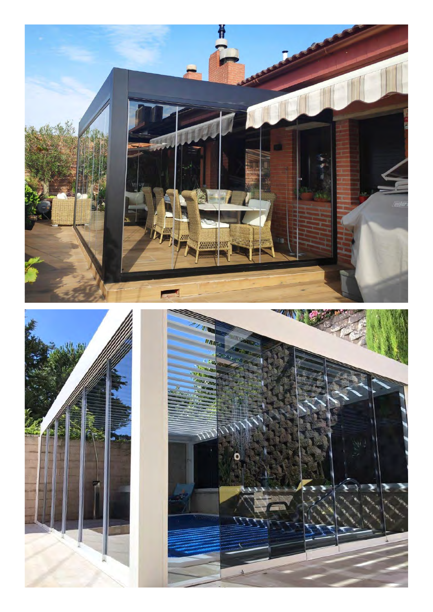